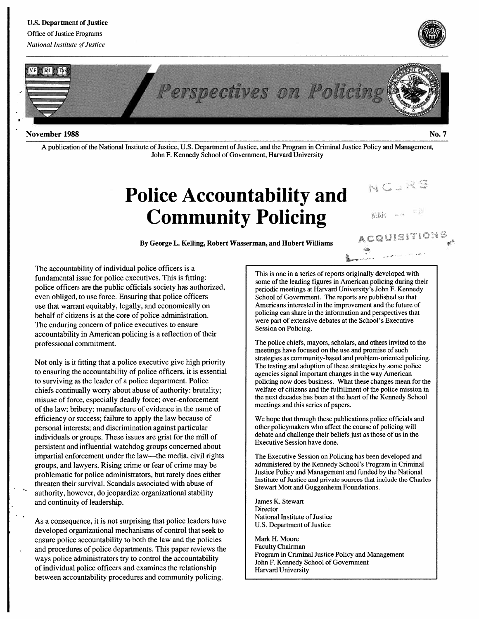



#### **November 1988** No. 7 **November 1988**

A publication of the National Institute of Justice, U.S. Department of Justice, and the Program in Criminal Justice Policy and Management, John F. Kennedy School of Government, Harvard University

# **Police Accountability and Community Policing**

By George L. Kelling, Robert Wasserman, and Hubert Williams



- &

The accountability of individual police officers is a fundamental issue for police executives. This is fitting: police officers are the public officials society has authorized, even obliged, to use force. Ensuring that police officers use that warrant equitably, legally, and economically on behalf of citizens is at the core of police administration. The enduring concern of police executives to ensure accountability in American policing is a reflection of their professional commitment.

Not only is it fitting that a police executive give high priority to ensuring the accountability of police officers, it is essential to surviving as the leader of a police department. Police chiefs continually worry about abuse of authority: brutality; misuse of force, especially deadly force; over-enforcement of the law; bribery; manufacture of evidence in the name of efficiency or success; failure to apply the law because of personal interests; and discrimination against particular individuals or groups. These issues are grist for the mill of persistent and influential watchdog groups concerned about impartial enforcement under the law—the media, civil rights groups, and lawyers. Rising crime or fear of crime may be problematic for police administrators, but rarely does either threaten their survival. Scandals associated with abuse of authority, however, do jeopardize organizational stability and continuity of leadership.

As a consequence, it is not surprising that police leaders have developed organizational mechanisms of control that seek to ensure police accountability to both the law and the policies and procedures of police departments. This paper reviews the ways police administrators try to control the accountability of individual police officers and examines the relationship between accountability procedures and community policing.

This is one in a series of reports originally developed with some of the leading figures in American policing during their periodic meetings at Harvard University's John F. Kennedy School of Government. The reports are published so that Americans interested in the improvement and the future of policing can share in the information and perspectives that were part of extensive debates at the School's Executive Session on Policing.

The police chiefs, mayors, scholars, and others invited to the meetings have focused on the use and promise of such strategies as community-based and problem-oriented policing. The testing and adoption of these strategies by some police agencies signalimportant changes in the way American policing now does business. What these changes mean for the welfare of citizens and the fulfillment of the police mission in the next decades has been at the heart of the Kennedy School meetings and this series of papers.

We hope that through these publications police officials and other policymakers who affect the course of policing will debate and challenge their beliefs just as those of us in the Executive Session have done.

The Executive Session on Policing has been developed and administered by the Kennedy School's Program in Criminal Justice Policy and Management and funded by the National Institute of Justice and private sources that include the Charles Stewart Mott and Guggenheim Foundations.

James K. Stewart Director National Institute of Justice U.S. Department of Justice

Mark H. Moore FacultyChairman Program in Criminal Justice Policy and Management John F. Kennedy School of Government Harvard University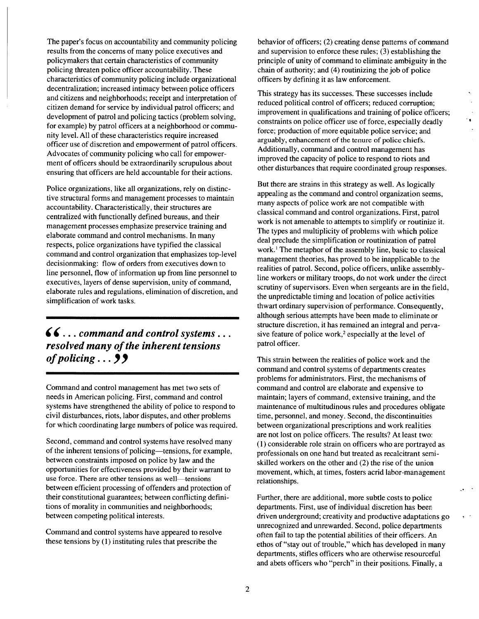The paper's focus on accountability and community policing results from the concerns of many police executives and policymakers that certain characteristics of community policing threaten police officer accountability. These characteristics of community policing include organizational decentralization; increased intimacy between police officers and citizens and neighborhoods; receipt and interpretation of citizen demand for service by individual patrol officers; and development of patrol and policing tactics (problem solving, for example) by patrol officers at a neighborhood or community level. All of these characteristics require increased officer use of discretion and empowerment of patrol officers. Advocates of community policing who call for empowerment of officers should be extraordinarily scrupulous about ensuring that officers are held accountable for their actions.

Police organizations, like all organizations, rely on distinctive structural forms and management processes to maintain accountability. Characteristically, their structures are centralized with functionally defined bureaus, and their management processes emphasize preservice training and elaborate command and control mechanisms. In many respects, police organizations have typified the classical command and control organization that emphasizes top-level decisionmaking: flow of orders from executives down to line personnel, flow of information up from line personnel to executives, layers of dense supervision, unity of command, elaborate rules and regulations, elimination of discretion, and simplification of work tasks.

# *66.*..*command and control systems* . . . *resolved many of the inherent tensions*  of policing . . . 99

Command and control management has met two sets of needs in American policing. First, command and control systems have strengthened the ability of police to respond to civil disturbances, riots, labor disputes, and other problems for which coordinating large numbers of police was required.

Second, command and control systems have resolved many of the inherent tensions of policing-tensions, for example, between constraints imposed on police by law and the opportunities for effectiveness provided by their warrant to use force. There are other tensions as well—tension between efficient processing of offenders and protection of their constitutional guarantees; between conflicting definitions of morality in communities and neighborhoods; between competing political interests.

Command and control systems have appeared to resolve these tensions by (1) instituting rules that prescribe the

behavior of officers; (2) creating dense patterns of command and supervision to enforce these rules; **(3)** establishing the principle of unity of command to eliminate ambiguity in the chain of authority; and  $(4)$  routinizing the job of police officers by defining it as law enforcement.

This strategy has its successes. These successes include reduced political control of officers; reduced corruption; improvement in qualifications and training of police officers; constraints on police officer use of force, especially deadly force; production of more equitable police service; and arguably, enhancement of the tenure of police chiefs. Additionally, command and control management has improved the capacity of police to respond to riots and other disturbances that require coordinated group responses.

But there are strains in this strategy as well. As logically appealing as the command and control organization seems, many aspects of police work are not compatible with classical command and control organizations. First, patrol work is not amenable to attempts to simplify or routinize it. The types and multiplicity of problems with which police deal preclude the simplification or routinization of patrol work.' The metaphor of the assembly line, basic to classical management theories, has proved to be inapplicable to the realities of patrol. Second, police officers, unlike assemblyline workers or military troops, do not work under the direct scrutiny of supervisors. Even when sergeants are in the field, the unpredictable timing and location of police activities thwart ordinary supervision of performance. Consequently, although serious attempts have been made to eliminate or structure discretion, it has remained an integral and pervasive feature of police work,<sup>2</sup> especially at the level of patrol officer.

This strain between the realities of police work and the command and control systems of departments creates problems for administrators. First, the mechanisms of command and control are elaborate and expensive to maintain; layers of command, extensive training, and the maintenance of multitudinous rules and procedures obligate time, personnel, and money. Second, the discontinuities between organizational prescriptions and work realities are not lost on police officers. The results? At least two: (I) considerable role strain on officers who are portrayed as professionals on one hand but treated as recalcitrant semiskilled workers on the other and (2) the rise of the union movement, which, at times, fosters acrid labor-management relationships.

Further, there are additional, more subtle costs to police departments. First, use of individual discretion has been driven underground; creativity and productive adaptations go unrecognized and unrewarded. Second, police departments often fail to tap the potential abilities of their officers. An ethos of "stay out of trouble," which has developed in many departments, stifles officers who are otherwise resourceful and abets officers who "perch" in their positions. Finally, a

 $\mathcal{L}$ 

**I**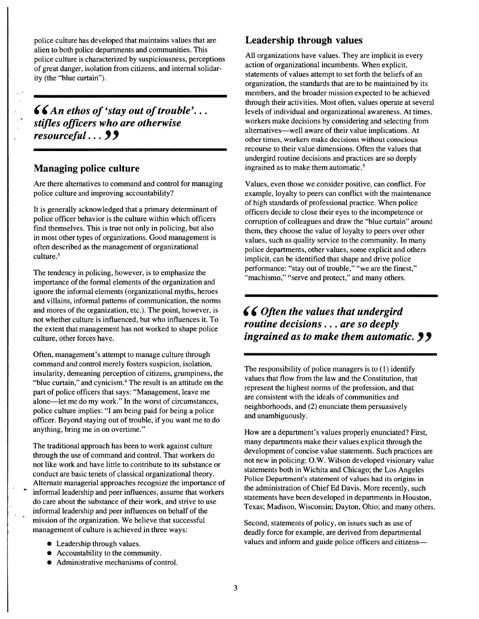police culture has developed that maintains values that are alien to both police departments and communities. This police culture is characterized by suspiciousness, perceptions of great danger, isolation from citizens, and internal solidarity (the "blue curtain").

 *66~nethos of 'stay out of trouble'.* .. ' *stifles officers who are otherwise*  . *resourceful.* . . *9.9* 

## **Managing police culture**

Are there alternatives to command and control for managing police culture and improving accountability?

It is generally acknowledged that a primary determinant of police officer behavior is the culture within which officers find themselves. This is true not only in policing, but also in most other types of organizations. Good management is often described as the management of organizational  $cutture.<sup>3</sup>$ 

The tendency in policing, however, is to emphasize the importance of the formal elements of the organization and ignore the informal elements (organizational myths, heroes and villains, informal patterns of communication, the norms and mores of the organization, etc.). The point, however, is not whether culture is influenced, but who influences it. To the extent that management has not worked to shape police culture, other forces have.

Often, management's attempt to manage culture through command and control merely fosters suspicion, isolation, insularity, demeaning perception of citizens, grumpiness, the "blue curtain," and cynicism.<sup>4</sup> The result is an attitude on the part of police officers that says: "Management, leave me alone-let me do my work." In the worst of circumstances, police culture implies: "I am being paid for being a police officer. Beyond staying out of trouble, if you want me to do anything, bring me in on overtime."

The traditional approach has been to work against culture through the use of command and control. That workers do not like work and have little to contribute to its substance or conduct are basic tenets of classical organizational theory. Alternate managerial approaches recognize the importance of informal leadership and peer influences, assume that workers do care about the substance of their work, and strive to use informal leadership and peer influences on behalf of the

mission of the organization. We believe that successful management of culture is achieved in three ways:

- Leadership through values.
- Accountability to the community.
- Administrative mechanisms of control.

## **Leadership through values**

All organizations have values. They are implicit in every action of organizational incumbents. When explicit, statements of values attempt to set forth the beliefs of an organization, the standards that are to be maintained by its members, and the broader mission expected to be achieved through their activities. Most often, values operate at several levels of individual and organizational awareness. At times, workers make decisions by considering and selecting from alternatives--well aware of their value implications. At other times, workers make decisions without conscious recourse to their value dimensions. Often the values that undergird routine decisions and practices are so deeply ingrained as to make them automatic. $<sup>5</sup>$ </sup>

Values, even those we consider positive, can conflict. For example, loyalty to peers can conflict with the maintenance of high standards of professional practice. When police officers decide to close their eyes to the incompetence or corruption of colleagues and draw the "blue curtain" around them, they choose the value of loyalty to peers over other values, such as quality service to the community. In many police departments, other values, some explicit and others implicit, can be identified that shape and drive police performance: "stay out of trouble," "we are the finest," "machismo," "serve and protect," and many others.

# *66 Often the values that undergird routine decisions.* ..*are so deeply ingrained as to make them automatic.* **99**

The responsibility of police managers is to (1) identify values that flow from the law and the Constitution, that represent the highest norms of the profession, and that are consistent with the ideals of communities and neighborhoods, and (2) enunciate them persuasively and unambiguously.

How are a department's values properly enunciated? First, many departments make their values explicit through the development of concise value statements. Such practices are not new in policing: O.W. Wilson developed visionary value statements both in Wichita and Chicago; the Los Angeles Police Department's statement of values had its origins in the administration of Chief Ed Davis. More recently, such statements have been developed in departments in Houston, Texas; Madison, Wisconsin; Dayton, Ohio; and many others.

Second, statements of policy, on issues such as use of deadly force for example, are derived from departmental values and inform and guide police officers and citizens-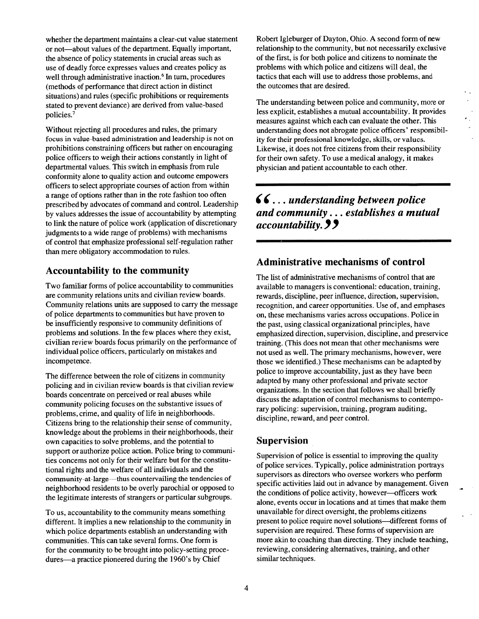whether the department maintains a clear-cut value statement or not-about values of the department. Equally important, the absence of policy statements in crucial areas such as use of deadly force expresses values and creates policy as well through administrative inaction.<sup>6</sup> In turn, procedures (methods of performance that direct action in distinct situations) and rules (specific prohibitions or requirements stated to prevent deviance) are derived from value-based policies.'

Without rejecting all procedures and rules, the primary focus in value-based administration and leadership is not on prohibitions constraining officers but rather on encouraging police officers to weigh their actions constantly in light of departmental values. This switch in emphasis from rule conformity alone to quality action and outcome empowers officers to select appropriate courses of action from within a range of options rather than in the rote fashion too often prescribed by advocates of command and control. Leadership by values addresses the issue of accountability by attempting to link the nature of police work (application of discretionary judgments to a wide range of problems) with mechanisms of control that emphasize professional self-regulation rather than mere obligatory accommodation to rules.

#### **Accountability to the community**

Two familiar forms of police accountability to communities are community relations units and civilian review boards. Community relations units are supposed to carry the message of police departments to communities but have proven to be insufficiently responsive to community definitions of problems and solutions. In the few places where they exist, civilian review boards focus primarily on the performance of individual police officers, particularly on mistakes and incompetence.

The difference between the role of citizens in community policing and in civilian review boards is that civilian review boards concentrate on perceived or real abuses while community policing focuses on the substantive issues of problems, crime, and quality of life in neighborhoods. Citizens bring to the relationship their sense of community, knowledge about the problems in their neighborhoods, their own capacities to solve problems, and the potential to support or authorize police action. Police bring to communities concerns not only for their welfare but for the constitutional rights and the welfare of all individuals and the community-at-large—thus countervailing the tendencies of neighborhood residents to be overly parochial or opposed to the legitimate interests of strangers or particular subgroups.

To us, accountability to the community means something different. It implies a new relationship to the community in which police departments establish an understanding with communities. This can take several forms. One form is for the community to be brought into policy-setting procedures—a practice pioneered during the 1960's by Chief

Robert Igleburger of Dayton, Ohio. A second form of new relationship to the community, but not necessarily exclusive of the first, is for both police and citizens to nominate the problems with which police and citizens will deal, the tactics that each will use to address those problems, and the outcomes that are desired.

The understanding between police and community, more or less explicit, establishes a mutual accountability. It provides measures against which each can evaluate the other. This understanding does not abrogate police officers' responsibility for their professional knowledge, skills, or values. Likewise, it does not free citizens from their responsibility for their own safety. To use a medical analogy, it makes physician and patient accountable to each other.

# *66* ...*understanding between police and community.* . . *establishes a mutual accountability. 99*

#### **Administrative mechanisms of control**

The list of administrative mechanisms of control that are available to managers is conventional: education, training, rewards, discipline, peer influence, direction, supervision, recognition, and career opportunities. Use of, and emphases on, these mechanisms varies across occupations. Police in the past, using classical organizational principles, have emphasized direction, supervision, discipline, and preservice training. (This does not mean that other mechanisms were not used as well. The primary mechanisms, however, were those we identified.) These mechanisms can be adapted by police to improve accountability, just as they have been adapted by many other professional and private sector organizations. In the section that follows we shall briefly discuss the adaptation of control mechanisms to contemporary policing: supervision, training, program auditing, discipline, reward, and peer control.

#### **Supervision**

Supervision of police is essential to improving the quality of police services. Typically, police administration portrays supervisors as directors who oversee workers who perform specific activities laid out in advance by management. Given the conditions of police activity, however--officers work alone, events occur in locations and at times that make them unavailable for direct oversight, the problems citizens present to police require novel solutions--- different forms of supervision are required. These forms of supervision are more akin to coaching than directing. They include teaching, reviewing, considering alternatives, training, and other similar techniques.

**4** 

k.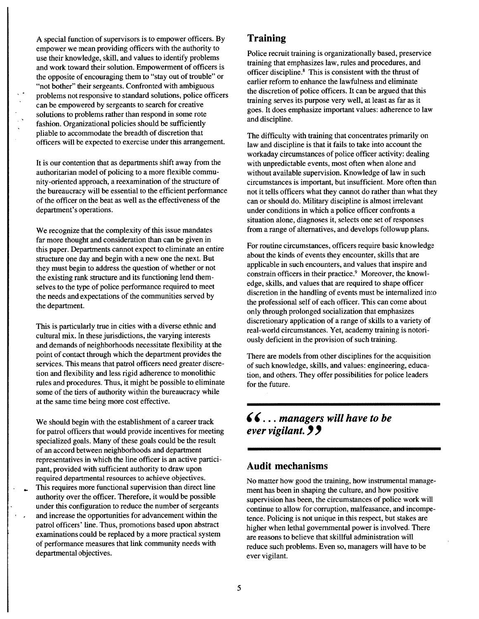A special function of supervisors is to empower officers. By empower we mean providing officers with the authority to use their knowledge, skill, and values to identify problems and work toward their solution. Empowerment of officers is the opposite of encouraging them to "stay out of trouble" or "not bother" their sergeants. Confronted with ambiguous problems not responsive to standard solutions, police officers can be empowered by sergeants to search for creative solutions to problems rather than respond in some rote fashion. Organizational policies should be sufficiently pliable to accommodate the breadth of discretion that officers will be expected to exercise under this arrangement.

It is our contention that as departments shift away from the authoritarian model of policing to a more flexible community-oriented approach, a reexamination of the structure of the bureaucracy will be essential to the efficient performance of the officer on the beat as well as the effectiveness of the department's operations.

We recognize that the complexity of this issue mandates far more thought and consideration than can be given in this paper. Departments cannot expect to eliminate an entire structure one day and begin with a new one the next. But they must begin to address the question of whether or not the existing rank structure and its functioning lend themselves to the type of police performance required to meet the needs and expectations of the communities served by the department.

This is particularly true in cities with a diverse ethnic and cultural mix. In these jurisdictions, the varying interests and demands of neighborhoods necessitate flexibility at the point of contact through which the department provides the services. This means that patrol officers need greater discretion and flexibility and less rigid adherence to monolithic rules and procedures. Thus, it might be possible to eliminate some of the tiers of authority within the bureaucracy while at the same time being more cost effective.

We should begin with the establishment of a career track for patrol officers that would provide incentives for meeting specialized goals. Many of these goals could be the result of an accord between neighborhoods and department representatives in which the line officer is an active participant, provided with sufficient authority to draw upon required departmental resources to achieve objectives.

This requires more functional supervision than direct line authority over the officer. Therefore, it would be possible under this configuration to reduce the number of sergeants . and increase the opportunities for advancement within the patrol officers' line. Thus, promotions based upon abstract examinations could be replaced by a more practical system of performance measures that link community needs with departmental objectives.

## **Training**

Police recruit training is organizationally based, preservice training that emphasizes law, rules and procedures, and officer discipline. $8$  This is consistent with the thrust of earlier reform to enhance the lawfulness and eliminate the discretion of police officers. It can be argued that this training serves its purpose very well, at least as far as it goes. It does emphasize important values: adherence to law and discipline.

The difficulty with training that concentrates primarily on law and discipline is that it fails to take into account the workaday circumstances of police officer activity: dealing with unpredictable events, most often when alone and without available supervision. Knowledge of law in such circumstances is important, but insufficient. More often than not it tells officers what they cannot do rather than what they can or should do. Military discipline is almost irrelevant under conditions in which a police officer confronts a situation alone, diagnoses it, selects one set of responses from a range of alternatives, and develops followup plans.

For routine circumstances, officers require basic knowledge about the kinds of events they encounter, skills that are applicable in such encounters, and values that inspire and constrain officers in their practice.<sup>9</sup> Moreover, the knowledge, skills, and values that are required to shape officer discretion in the handling of events must be internalized into the professional self of each officer. This can come about only through prolonged socialization that emphasizes discretionary application of a range of skills to a variety of real-world circumstances. Yet, academy training is notoriously deficient in the provision of such training.

There are models from other disciplines for the acquisition of such knowledge, skills, and values: engineering, education, and others. They offer possibilities for police leaders for the future.

# **4 4.** ..*managers will have to be ever vigilant. 99*

## **Audit mechanisms**

No matter how good the training, how instrumental management has been in shaping the culture, and how positive supervision has been, the circumstances of police work will continue to allow for corruption, malfeasance, and incompetence. Policing is not unique in this respect, but stakes are higher when lethal governmental power is involved. There are reasons to believe that skillful administration will reduce such problems. Even so, managers will have to be ever vigilant.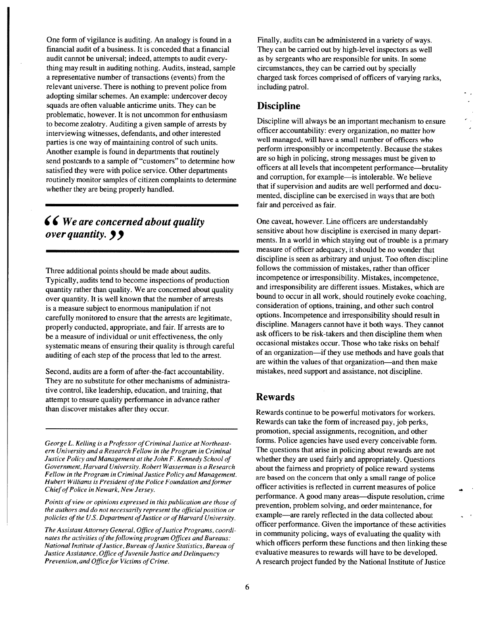One form of vigilance is auditing. An analogy is found in a financial audit of a business. It is conceded that a financial audit cannot be universal; indeed, attempts to audit everything may result in auditing nothing. Audits, instead, sample a representative number of transactions (events) from the relevant universe. There is nothing to prevent police from adopting similar schemes. An example: undercover decoy squads are often valuable anticrime units. They can be problematic, however. It is not uncommon for enthusiasm to become zealotry. Auditing a given sample of arrests by interviewing witnesses, defendants, and other interested parties is one way of maintaining control of such units. Another example is found in departments that routinely send postcards to a sample of "customers" to determine how satisfied they were with police service. Other departments routinely monitor samples of citizen complaints to determine whether they are being properly handled.

# *66 We are concerned about quality over quantity. 9 9*

Three additional points should be made about audits. Typically, audits tend to become inspections of production quantity rather than quality. We are concerned about quality over quantity. It is well known that the number of arrests is a measure subject to enormous manipulation if not carefully monitored to ensure that the arrests are legitimate, properly conducted, appropriate, and fair. If arrests are to be a measure of individual or unit effectiveness, the only systematic means of ensuring their quality is through careful auditing of each step of the process that led to the arrest.

Second, audits are a form of after-the-fact accountability. They are no substitute for other mechanisms of administrative control, like leadership, education, and training, that attempt to ensure quality performance in advance rather than discover mistakes after they occur.

*George L. Kelling is a Professor of Criminal Justice at Northeastern University and a Research Fellow in the Program in Criminal Justice Policy and Management at the John F. Kennedy School of Government, Harvard University. Robert Wasserman is a Research Fellow in the Program in Criminal Justice Policy and Management. Hubert Williams is President of the Police Foundation and former Chief of Police in Newark, New Jersey.* 

*Points of view or opinions expressed in this publication are those of the authors and do not necessarily represent the official position or policies of the U.S. Department of Justice or of Harvard University.* 

*The Assistant Attorney General, Office of Justice Programs, coordinates the activities of the following program Offices and Bureaus: National Institute of Justice, Bureau of Justice Statistics, Bureau of Justice Assistance, Office of Juvenile Justice and Delinquency Prevention, and Office for Victims of Crime.* 

Finally, audits can be administered in a variety of ways. They can be carried out by high-level inspectors as well as by sergeants who are responsible for units. In some circumstances, they can be carried out by specially charged task forces comprised of officers of varying ranks, including patrol.

#### **Discipline**

Discipline will always be an important mechanism to ensure officer accountability: every organization, no matter how well managed, will have a small number of officers who perform irresponsibly or incompetently. Because the stakes are so high in policing, strong messages must be given to officers at all levels that incompetent performance-brutality and corruption, for example-is intolerable. We believe that if supervision and audits are well performed and documented, discipline can be exercised in ways that are both fair and perceived as fair.

One caveat, however. Line officers are understandably sensitive about how discipline is exercised in many departments. In a world in which staying out of trouble is a primary measure of officer adequacy, it should be no wonder that discipline is seen as arbitrary and unjust. Too often discipline follows the commission of mistakes, rather than officer incompetence or irresponsibility. Mistakes, incompetence, and irresponsibility are different issues. Mistakes, which are bound to occur in all work, should routinely evoke coaching, consideration of options, training, and other such control options. Incompetence and irresponsibility should result in discipline. Managers cannot have it both ways. They cannot ask officers to be risk-takers and then discipline them when occasional mistakes occur. Those who take risks on behalf of an organization-if they use methods and have goals that are within the values of that organization-and then make mistakes, need support and assistance, not discipline.

## **Rewards**

Rewards continue to be powerful motivators for workers. Rewards can take the form of increased pay, job perks, promotion, special assignments, recognition, and other forms. Police agencies have used every conceivable form. The questions that arise in policing about rewards are not whether they are used fairly and appropriately. Questions about the fairness and propriety of police reward systems are based on the concern that only a small range of police officer activities is reflected in current measures of police performance. A good many areas—dispute resolution, crime prevention, problem solving, and order maintenance, for example-are rarely reflected in the data collected about officer performance. Given the importance of these activities in community policing, ways of evaluating the quality with which officers perform these functions and then linking these evaluative measures to rewards will have to be developed. A research project funded by the National Institute of Justice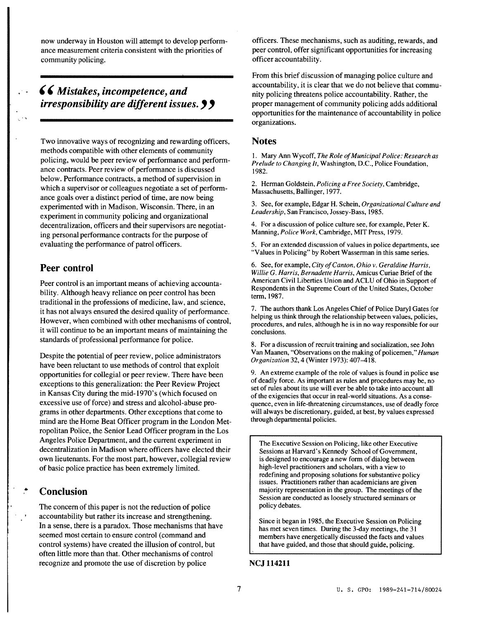now underway in Houston will attempt to develop performance measurement criteria consistent with the priorities of community policing.

# *66 Mistakes, incompetence, and irresponsibility are different issues.* ))

Two innovative ways of recognizing and rewarding officers, methods compatible with other elements of community policing, would be peer review of performance and performance contracts. Peer review of performance is discussed below. Performance contracts, a method of supervision in which a supervisor or colleagues negotiate a set of performance goals over a distinct period of time, are now being experimented with in Madison, Wisconsin. There, in an experiment in community policing and organizational decentralization, officers and their supervisors are negotiating personal performance contracts for the purpose of evaluating the performance of patrol officers.

#### **Peer control**

L"

Peer control is an important means of achieving accountability. Although heavy reliance on peer control has been traditional in the professions of medicine, law, and science, it has not always ensured the desired quality of performance. However, when combined with other mechanisms of control, it will continue to be an important means of maintaining the standards of professional performance for police.

Despite the potential of peer review, police administrators have been reluctant to use methods of control that exploit opportunities for collegial or peer review. There have been exceptions to this generalization: the Peer Review Project in Kansas City during the mid-1970's (which focused on excessive use of force) and stress and alcohol-abuse programs in other departments. Other exceptions that come to mind are the Home Beat Officer program in the London Metropolitan Police, the Senior Lead Officer program in the Los Angeles Police Department, and the current experiment in decentralization in Madison where officers have elected their own lieutenants. For the most part, however, collegial review of basic police practice has been extremely limited.

## **Conclusion**

The concern of this paper is not the reduction of police accountability but rather its increase and strengthening. In a sense, there is a paradox. Those mechanisms that have seemed most certain to ensure control (command and control systems) have created the illusion of control, but often little more than that. Other mechanisms of control recognize and promote the use of discretion by police

officers. These mechanisms, such as auditing, rewards, and peer control, offer significant opportunities for increasing officer accountability.

nity policing threatens police accountability. Rather, the proper management of community policing adds additional From this brief discussion of managing police culture and accountability, it is clear that we do not believe that commuopportunities for the maintenance of accountability in police organizations.

#### **Notes**

1. Mary Ann Wycoff, The *Role of Municipal Police: Research as Prelude to Changing It,* Washington, D.C., Police Foundation, 1982.

2. Herman Goldstein, *Policing a Free Society,* Cambridge, Massachusetts, Ballinger, 1977.

3. See, for example, Edgar H. Schein, *Organizational Culture and Leadership,* San Francisco, Jossey-Bass, 1985.

4. For a discussion of police culture see, for example, Peter K. Manning, *Police Work,* Cambridge, MIT Press, 1979.

5. For an extended discussion of values in police departments, see "Values in Policing" by Robert Wasserman in this same series.

6. See, for example, *City of Canton, Ohio* **v.** *Geraldine Harris, Willie G.Harris, Bernadette Harris,* Amicus Curiae Brief of the American Civil Liberties Union and ACLU of Ohio in Support of Respondents in the Supreme Court of the United States, October term, 1987.

7. The authors thank Los Angeles Chief of Police Daryl Gates for helping us think through the relationship between values, policies, procedures, and rules, although he is in no way responsible for our conclusions.

8. For a discussion of recruit training and socialization, see John Van Maanen, "Observations on the making of policemen," *Human Organization* 32,4 (Winter 1973): 407-418.

9. An extreme example of the role of values is found in police use of deadly force. As important as rules and procedures may be, no set of rules about its use will ever be able to take into account all of the exigencies that occur in real-world situations. As a consequence, even in life-threatening circumstances, use of deadly force will always be discretionary, guided, at best, by values expressed through departmental policies.

The Executive Session on Policing, like other Executive Sessions at Harvard's Kennedy School of Government, is designed to encourage a new form of dialog between high-level practitioners and scholars, with a view to redefining and proposing solutions for substantive policy issues. Practitioners rather than academicians are given majority representation in the group. The meetings of the Session are conducted as loosely structured seminars or policy debates.

Since it began in 1985, the Executive Session on Policing has met seven times. During the 3-day meetings, the 31 members have energetically discussed the facts and values that have guided, and those that should guide, policing.

#### **NCJ 114211**

I